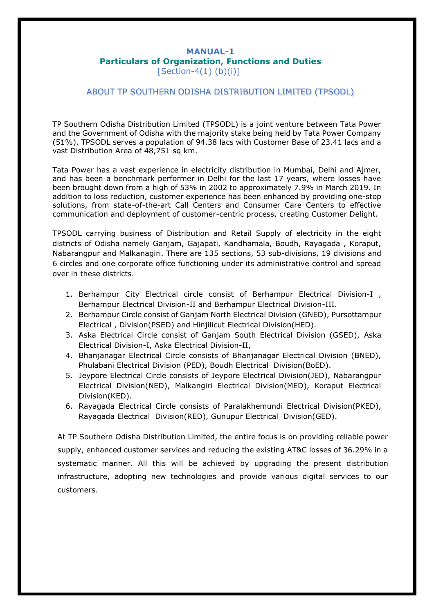#### **MANUAL-1 Particulars of Organization, Functions and Duties**  $[Section-4(1) (b)(i)]$

#### ABOUT TP SOUTHERN ODISHA DISTRIBUTION LIMITED (TPSODL)

TP Southern Odisha Distribution Limited (TPSODL) is a joint venture between Tata Power and the Government of Odisha with the majority stake being held by Tata Power Company (51%). TPSODL serves a population of 94.38 lacs with Customer Base of 23.41 lacs and a vast Distribution Area of 48,751 sq km.

Tata Power has a vast experience in electricity distribution in Mumbai, Delhi and Ajmer, and has been a benchmark performer in Delhi for the last 17 years, where losses have been brought down from a high of 53% in 2002 to approximately 7.9% in March 2019. In addition to loss reduction, customer experience has been enhanced by providing one-stop solutions, from state-of-the-art Call Centers and Consumer Care Centers to effective communication and deployment of customer-centric process, creating Customer Delight.

TPSODL carrying business of Distribution and Retail Supply of electricity in the eight districts of Odisha namely Ganjam, Gajapati, Kandhamala, Boudh, Rayagada , Koraput, Nabarangpur and Malkanagiri. There are 135 sections, 53 sub-divisions, 19 divisions and 6 circles and one corporate office functioning under its administrative control and spread over in these districts.

- 1. Berhampur City Electrical circle consist of Berhampur Electrical Division-I , Berhampur Electrical Division-II and Berhampur Electrical Division-III.
- 2. Berhampur Circle consist of Ganjam North Electrical Division (GNED), Pursottampur Electrical , Division(PSED) and Hinjilicut Electrical Division(HED).
- 3. Aska Electrical Circle consist of Ganjam South Electrical Division (GSED), Aska Electrical Division-I, Aska Electrical Division-II,
- 4. Bhanjanagar Electrical Circle consists of Bhanjanagar Electrical Division (BNED), Phulabani Electrical Division (PED), Boudh Electrical Division(BoED).
- 5. Jeypore Electrical Circle consists of Jeypore Electrical Division(JED), Nabarangpur Electrical Division(NED), Malkangiri Electrical Division(MED), Koraput Electrical Division(KED).
- 6. Rayagada Electrical Circle consists of Paralakhemundi Electrical Division(PKED), Rayagada Electrical Division(RED), Gunupur Electrical Division(GED).

At TP Southern Odisha Distribution Limited, the entire focus is on providing reliable power supply, enhanced customer services and reducing the existing AT&C losses of 36.29% in a systematic manner. All this will be achieved by upgrading the present distribution infrastructure, adopting new technologies and provide various digital services to our customers.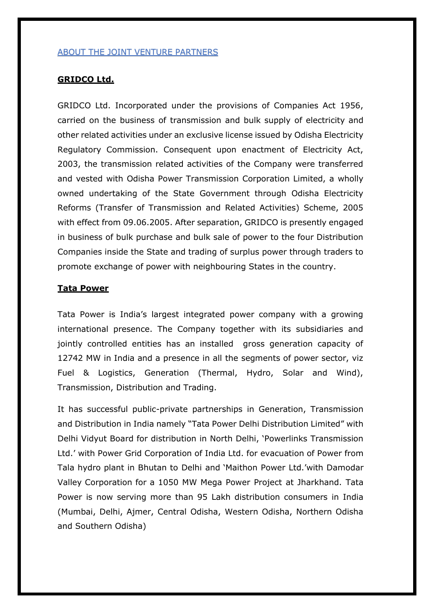#### ABOUT THE JOINT VENTURE PARTNERS

## **GRIDCO Ltd.**

GRIDCO Ltd. Incorporated under the provisions of Companies Act 1956, carried on the business of transmission and bulk supply of electricity and other related activities under an exclusive license issued by Odisha Electricity Regulatory Commission. Consequent upon enactment of Electricity Act, 2003, the transmission related activities of the Company were transferred and vested with Odisha Power Transmission Corporation Limited, a wholly owned undertaking of the State Government through Odisha Electricity Reforms (Transfer of Transmission and Related Activities) Scheme, 2005 with effect from 09.06.2005. After separation, GRIDCO is presently engaged in business of bulk purchase and bulk sale of power to the four Distribution Companies inside the State and trading of surplus power through traders to promote exchange of power with neighbouring States in the country.

## **Tata Power**

Tata Power is India's largest integrated power company with a growing international presence. The Company together with its subsidiaries and jointly controlled entities has an installed gross generation capacity of 12742 MW in India and a presence in all the segments of power sector, viz Fuel & Logistics, Generation (Thermal, Hydro, Solar and Wind), Transmission, Distribution and Trading.

It has successful public-private partnerships in Generation, Transmission and Distribution in India namely "Tata Power Delhi Distribution Limited" with Delhi Vidyut Board for distribution in North Delhi, 'Powerlinks Transmission Ltd.' with Power Grid Corporation of India Ltd. for evacuation of Power from Tala hydro plant in Bhutan to Delhi and 'Maithon Power Ltd.'with Damodar Valley Corporation for a 1050 MW Mega Power Project at Jharkhand. Tata Power is now serving more than 95 Lakh distribution consumers in India (Mumbai, Delhi, Ajmer, Central Odisha, Western Odisha, Northern Odisha and Southern Odisha)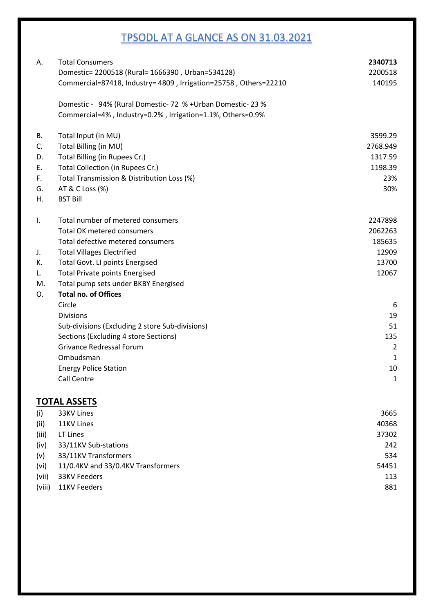# TPSODL AT A GLANCE AS ON 31.03.2021

| А.    | <b>Total Consumers</b>                                           | 2340713  |
|-------|------------------------------------------------------------------|----------|
|       | Domestic= 2200518 (Rural= 1666390, Urban=534128)                 | 2200518  |
|       | Commercial=87418, Industry= 4809, Irrigation=25758, Others=22210 | 140195   |
|       | Domestic - 94% (Rural Domestic-72 % + Urban Domestic-23 %        |          |
|       | Commercial=4%, Industry=0.2%, Irrigation=1.1%, Others=0.9%       |          |
| В.    | Total Input (in MU)                                              | 3599.29  |
| C.    | Total Billing (in MU)                                            | 2768.949 |
| D.    | Total Billing (in Rupees Cr.)                                    | 1317.59  |
| Ε.    | Total Collection (in Rupees Cr.)                                 | 1198.39  |
| F.    | Total Transmission & Distribution Loss (%)                       | 23%      |
| G.    | AT & C Loss (%)                                                  | 30%      |
| Η.    | <b>BST Bill</b>                                                  |          |
| Ι.    | Total number of metered consumers                                | 2247898  |
|       | <b>Total OK metered consumers</b>                                | 2062263  |
|       | Total defective metered consumers                                | 185635   |
| J.    | <b>Total Villages Electrified</b>                                | 12909    |
| К.    | Total Govt. LI points Energised                                  | 13700    |
| L.    | <b>Total Private points Energised</b>                            | 12067    |
| M.    | Total pump sets under BKBY Energised                             |          |
| O.    | <b>Total no. of Offices</b>                                      |          |
|       | Circle                                                           | 6        |
|       | <b>Divisions</b>                                                 | 19       |
|       | Sub-divisions (Excluding 2 store Sub-divisions)                  | 51       |
|       | Sections (Excluding 4 store Sections)                            | 135      |
|       | <b>Grivance Redressal Forum</b>                                  | 2        |
|       | Ombudsman                                                        | 1        |
|       | <b>Energy Police Station</b>                                     | 10       |
|       | Call Centre                                                      | 1        |
|       | <b>TOTAL ASSETS</b>                                              |          |
| (i)   | 33KV Lines                                                       | 3665     |
| (ii)  | 11KV Lines                                                       | 40368    |
| (iii) | LT Lines                                                         | 37302    |
| (iv)  | 33/11KV Sub-stations                                             | 242      |
| (v)   | 33/11KV Transformers                                             | 534      |
| (vi)  | 11/0.4KV and 33/0.4KV Transformers                               | 54451    |
| (vii) | 33KV Feeders                                                     | 113      |

(viii) 11KV Feeders 881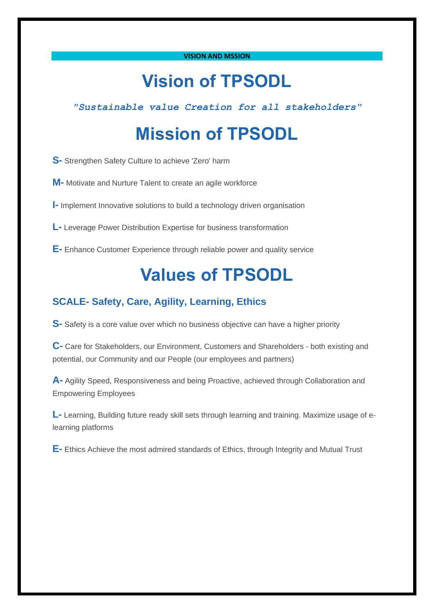#### **VISION AND MSSION**

# **Vision of TPSODL**

*"Sustainable value Creation for all stakeholders"*

# **Mission of TPSODL**

**S-** Strengthen Safety Culture to achieve 'Zero' harm

**M-** Motivate and Nurture Talent to create an agile workforce

**I-** Implement Innovative solutions to build a technology driven organisation

**L-** Leverage Power Distribution Expertise for business transformation

**E-** Enhance Customer Experience through reliable power and quality service

# **Values of TPSODL**

# **SCALE- Safety, Care, Agility, Learning, Ethics**

**S-** Safety is a core value over which no business objective can have a higher priority

**C-** Care for Stakeholders, our Environment, Customers and Shareholders - both existing and potential, our Community and our People (our employees and partners)

**A-** Agility Speed, Responsiveness and being Proactive, achieved through Collaboration and Empowering Employees

**L-** Learning, Building future ready skill sets through learning and training. Maximize usage of elearning platforms

**E-** Ethics Achieve the most admired standards of Ethics, through Integrity and Mutual Trust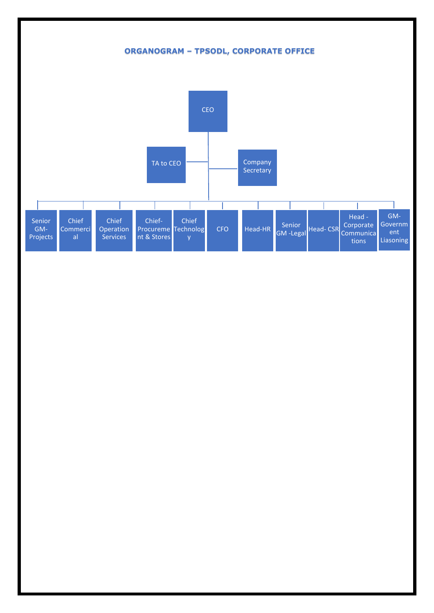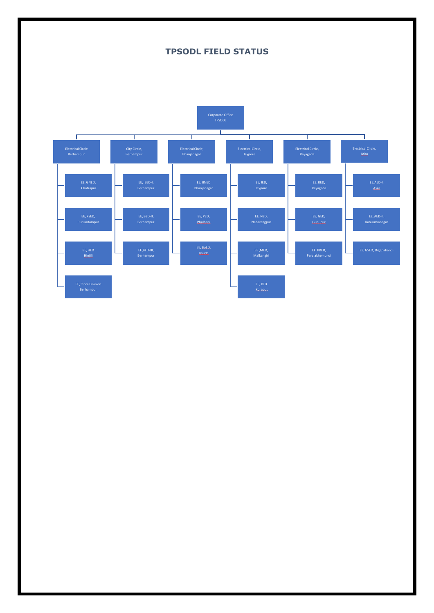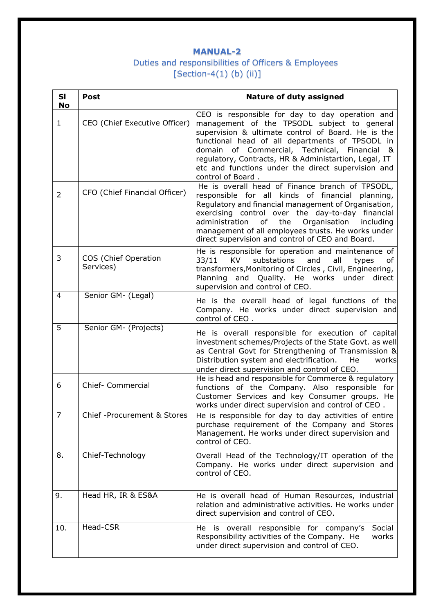# Duties and responsibilities of Officers & Employees [Section-4(1) (b) (ii)]

| <b>SI</b><br><b>No</b> | <b>Post</b>                       | <b>Nature of duty assigned</b>                                                                                                                                                                                                                                                                                                                                                              |
|------------------------|-----------------------------------|---------------------------------------------------------------------------------------------------------------------------------------------------------------------------------------------------------------------------------------------------------------------------------------------------------------------------------------------------------------------------------------------|
| $\mathbf{1}$           | CEO (Chief Executive Officer)     | CEO is responsible for day to day operation and<br>management of the TPSODL subject to general<br>supervision & ultimate control of Board. He is the<br>functional head of all departments of TPSODL in<br>domain of Commercial, Technical, Financial &<br>regulatory, Contracts, HR & Administartion, Legal, IT<br>etc and functions under the direct supervision and<br>control of Board. |
| $\overline{2}$         | CFO (Chief Financial Officer)     | He is overall head of Finance branch of TPSODL,<br>responsible for all kinds of financial<br>planning,<br>Regulatory and financial management of Organisation,<br>exercising control over the day-to-day financial<br>administration<br>the<br>Organisation<br>of<br>including<br>management of all employees trusts. He works under<br>direct supervision and control of CEO and Board.    |
| 3                      | COS (Chief Operation<br>Services) | He is responsible for operation and maintenance of<br>33/11<br>KV<br>substations<br>and<br>all<br>of<br>types<br>transformers, Monitoring of Circles, Civil, Engineering,<br>and Quality. He works under direct<br>Planning<br>supervision and control of CEO.                                                                                                                              |
| 4                      | Senior GM- (Legal)                | He is the overall head of legal functions of the<br>Company. He works under direct supervision and<br>control of CEO.                                                                                                                                                                                                                                                                       |
| 5                      | Senior GM- (Projects)             | He is overall responsible for execution of capital<br>investment schemes/Projects of the State Govt. as well<br>as Central Govt for Strengthening of Transmission &<br>Distribution system and electrification.<br>He<br>works<br>under direct supervision and control of CEO.                                                                                                              |
| 6                      | Chief- Commercial                 | He is head and responsible for Commerce & regulatory<br>functions of the Company. Also responsible for<br>Customer Services and key Consumer groups. He<br>works under direct supervision and control of CEO.                                                                                                                                                                               |
| $\overline{7}$         | Chief - Procurement & Stores      | He is responsible for day to day activities of entire<br>purchase requirement of the Company and Stores<br>Management. He works under direct supervision and<br>control of CEO.                                                                                                                                                                                                             |
| 8.                     | Chief-Technology                  | Overall Head of the Technology/IT operation of the<br>Company. He works under direct supervision and<br>control of CEO.                                                                                                                                                                                                                                                                     |
| 9.                     | Head HR, IR & ES&A                | He is overall head of Human Resources, industrial<br>relation and administrative activities. He works under<br>direct supervision and control of CEO.                                                                                                                                                                                                                                       |
| 10.                    | Head-CSR                          | He is overall responsible for company's<br>Social<br>Responsibility activities of the Company. He<br>works<br>under direct supervision and control of CEO.                                                                                                                                                                                                                                  |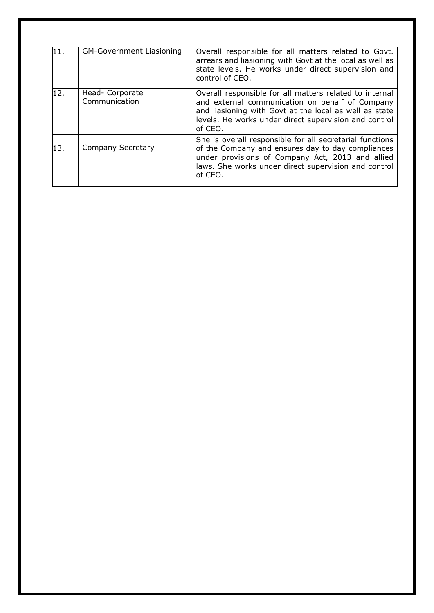| 11. | <b>GM-Government Liasioning</b>  | Overall responsible for all matters related to Govt.<br>arrears and liasioning with Govt at the local as well as<br>state levels. He works under direct supervision and<br>control of CEO.                                               |
|-----|----------------------------------|------------------------------------------------------------------------------------------------------------------------------------------------------------------------------------------------------------------------------------------|
| 12. | Head- Corporate<br>Communication | Overall responsible for all matters related to internal<br>and external communication on behalf of Company<br>and liasioning with Govt at the local as well as state<br>levels. He works under direct supervision and control<br>of CEO. |
| 13. | Company Secretary                | She is overall responsible for all secretarial functions<br>of the Company and ensures day to day compliances<br>under provisions of Company Act, 2013 and allied<br>laws. She works under direct supervision and control<br>of CEO.     |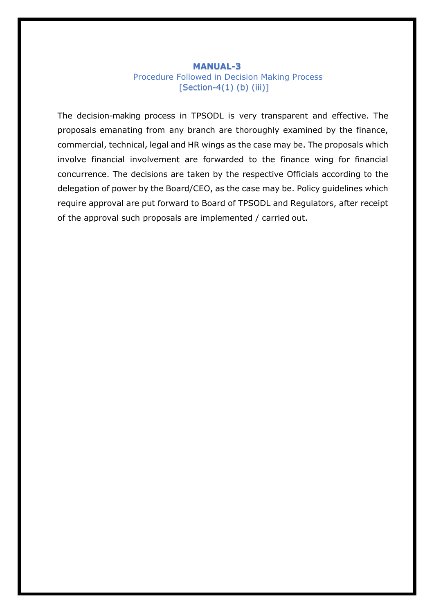## Procedure Followed in Decision Making Process [Section-4(1) (b) (iii)]

The decision-making process in TPSODL is very transparent and effective. The proposals emanating from any branch are thoroughly examined by the finance, commercial, technical, legal and HR wings as the case may be. The proposals which involve financial involvement are forwarded to the finance wing for financial concurrence. The decisions are taken by the respective Officials according to the delegation of power by the Board/CEO, as the case may be. Policy guidelines which require approval are put forward to Board of TPSODL and Regulators, after receipt of the approval such proposals are implemented / carried out.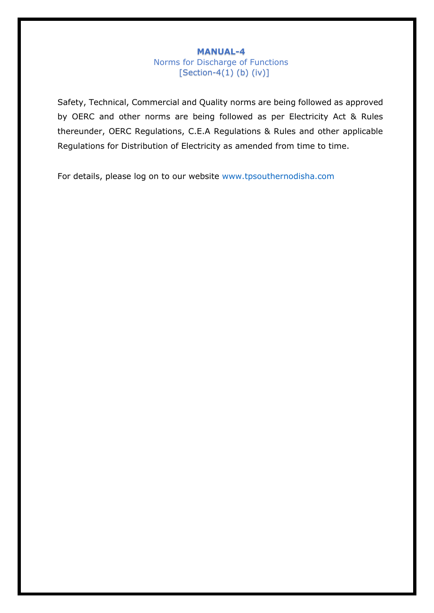# **MANUAL-4** Norms for Discharge of Functions  $[Section-4(1)$  (b)  $(iv)]$

Safety, Technical, Commercial and Quality norms are being followed as approved by OERC and other norms are being followed as per Electricity Act & Rules thereunder, OERC Regulations, C.E.A Regulations & Rules and other applicable Regulations for Distribution of Electricity as amended from time to time.

For details, please log on to our website www.tpsouthernodisha.com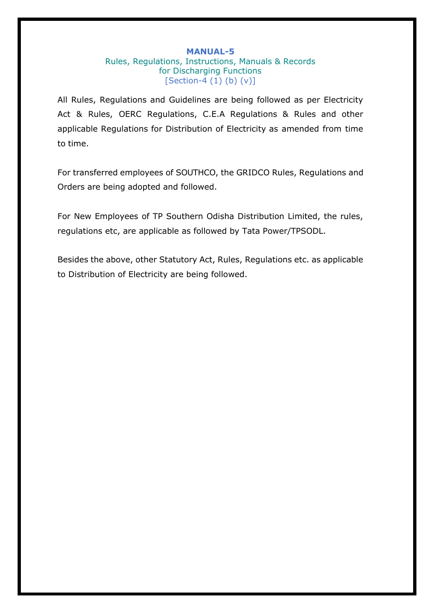## **MANUAL-5** Rules, Regulations, Instructions, Manuals & Records for Discharging Functions  $[Section-4 (1) (b) (v)]$

All Rules, Regulations and Guidelines are being followed as per Electricity Act & Rules, OERC Regulations, C.E.A Regulations & Rules and other applicable Regulations for Distribution of Electricity as amended from time to time.

For transferred employees of SOUTHCO, the GRIDCO Rules, Regulations and Orders are being adopted and followed.

For New Employees of TP Southern Odisha Distribution Limited, the rules, regulations etc, are applicable as followed by Tata Power/TPSODL.

Besides the above, other Statutory Act, Rules, Regulations etc. as applicable to Distribution of Electricity are being followed.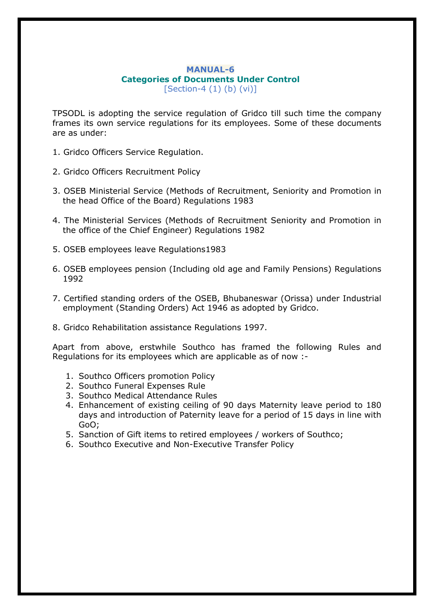#### **MANUAL-6 Categories of Documents Under Control**  $[Section-4 (1) (b) (vi)]$

TPSODL is adopting the service regulation of Gridco till such time the company frames its own service regulations for its employees. Some of these documents are as under:

- 1. Gridco Officers Service Regulation.
- 2. Gridco Officers Recruitment Policy
- 3. OSEB Ministerial Service (Methods of Recruitment, Seniority and Promotion in the head Office of the Board) Regulations 1983
- 4. The Ministerial Services (Methods of Recruitment Seniority and Promotion in the office of the Chief Engineer) Regulations 1982
- 5. OSEB employees leave Regulations1983
- 6. OSEB employees pension (Including old age and Family Pensions) Regulations 1992
- 7. Certified standing orders of the OSEB, Bhubaneswar (Orissa) under Industrial employment (Standing Orders) Act 1946 as adopted by Gridco.
- 8. Gridco Rehabilitation assistance Regulations 1997.

Apart from above, erstwhile Southco has framed the following Rules and Regulations for its employees which are applicable as of now :-

- 1. Southco Officers promotion Policy
- 2. Southco Funeral Expenses Rule
- 3. Southco Medical Attendance Rules
- 4. Enhancement of existing ceiling of 90 days Maternity leave period to 180 days and introduction of Paternity leave for a period of 15 days in line with GoO;
- 5. Sanction of Gift items to retired employees / workers of Southco;
- 6. Southco Executive and Non-Executive Transfer Policy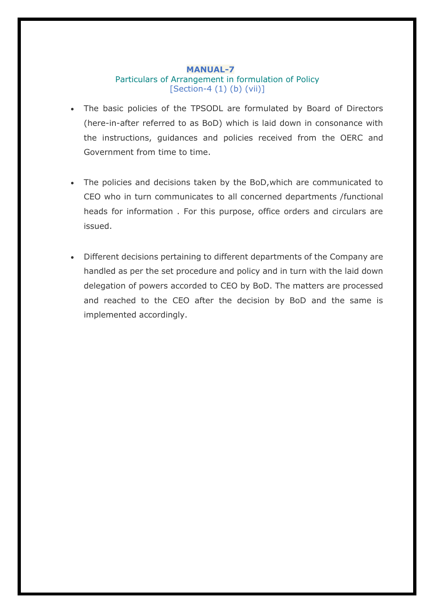## **MANUAL-7**  Particulars of Arrangement in formulation of Policy [Section-4 (1) (b) (vii)]

- The basic policies of the TPSODL are formulated by Board of Directors (here-in-after referred to as BoD) which is laid down in consonance with the instructions, guidances and policies received from the OERC and Government from time to time.
- The policies and decisions taken by the BoD,which are communicated to CEO who in turn communicates to all concerned departments /functional heads for information . For this purpose, office orders and circulars are issued.
- Different decisions pertaining to different departments of the Company are handled as per the set procedure and policy and in turn with the laid down delegation of powers accorded to CEO by BoD. The matters are processed and reached to the CEO after the decision by BoD and the same is implemented accordingly.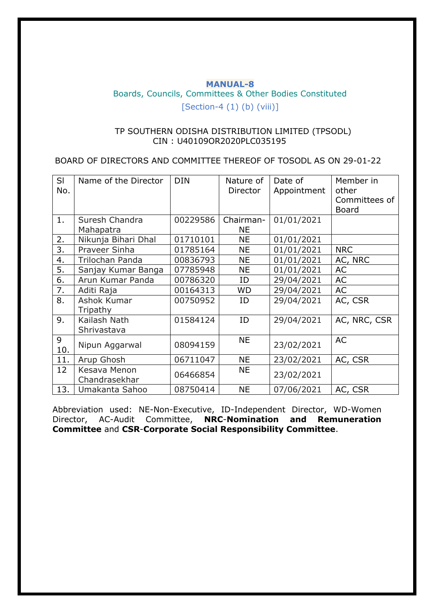# **MANUAL-8** Boards, Councils, Committees & Other Bodies Constituted [Section-4 (1) (b) (viii)]

## TP SOUTHERN ODISHA DISTRIBUTION LIMITED (TPSODL) CIN : U40109OR2020PLC035195

BOARD OF DIRECTORS AND COMMITTEE THEREOF OF TOSODL AS ON 29-01-22

| SI<br>No.        | Name of the Director          | <b>DIN</b> | Nature of<br>Director  | Date of<br>Appointment | Member in<br>other<br>Committees of<br><b>Board</b> |
|------------------|-------------------------------|------------|------------------------|------------------------|-----------------------------------------------------|
| 1.               | Suresh Chandra<br>Mahapatra   | 00229586   | Chairman-<br><b>NE</b> | 01/01/2021             |                                                     |
|                  |                               | 01710101   | <b>NE</b>              |                        |                                                     |
| 2.               | Nikunja Bihari Dhal           |            |                        | 01/01/2021             |                                                     |
| $\overline{3}$ . | Praveer Sinha                 | 01785164   | <b>NE</b>              | 01/01/2021             | <b>NRC</b>                                          |
| 4.               | <b>Trilochan Panda</b>        | 00836793   | <b>NE</b>              | 01/01/2021             | AC, NRC                                             |
| 5.               | Sanjay Kumar Banga            | 07785948   | <b>NE</b>              | 01/01/2021             | AC                                                  |
| 6.               | Arun Kumar Panda              | 00786320   | ID                     | 29/04/2021             | AC                                                  |
| 7.               | Aditi Raja                    | 00164313   | WD                     | 29/04/2021             | AC                                                  |
| 8.               | Ashok Kumar<br>Tripathy       | 00750952   | ID                     | 29/04/2021             | AC, CSR                                             |
| 9.               | Kailash Nath<br>Shrivastava   | 01584124   | ID                     | 29/04/2021             | AC, NRC, CSR                                        |
| 9<br>10.         | Nipun Aggarwal                | 08094159   | <b>NE</b>              | 23/02/2021             | <b>AC</b>                                           |
| 11.              | Arup Ghosh                    | 06711047   | <b>NE</b>              | 23/02/2021             | AC, CSR                                             |
| 12               | Kesava Menon<br>Chandrasekhar | 06466854   | <b>NE</b>              | 23/02/2021             |                                                     |
| 13.              | Umakanta Sahoo                | 08750414   | <b>NE</b>              | 07/06/2021             | AC, CSR                                             |

Abbreviation used: NE-Non-Executive, ID-Independent Director, WD-Women Director, AC-Audit Committee, **NRC**-**Nomination and Remuneration Committee** and **CSR**-**Corporate Social Responsibility Committee**.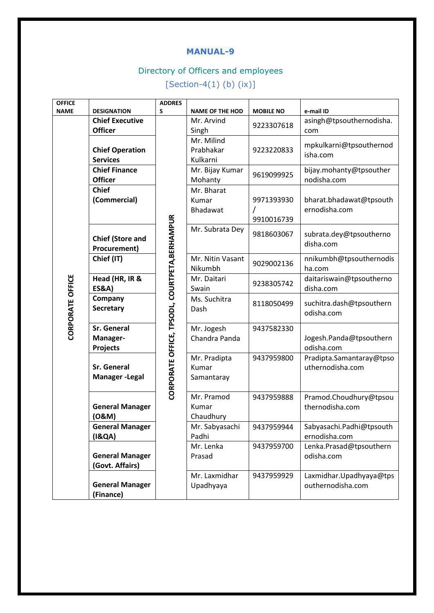# Directory of Officers and employees

 $[Section-4(1) (b) (ix)]$ 

| <b>OFFICE</b>           |                                            | <b>ADDRES</b>                                  |                        |                  |                          |
|-------------------------|--------------------------------------------|------------------------------------------------|------------------------|------------------|--------------------------|
| <b>NAME</b>             | <b>DESIGNATION</b>                         | S                                              | <b>NAME OF THE HOD</b> | <b>MOBILE NO</b> | e-mail ID                |
|                         | <b>Chief Executive</b>                     |                                                | Mr. Arvind             | 9223307618       | asingh@tpsouthernodisha. |
|                         | <b>Officer</b>                             |                                                | Singh                  |                  | com                      |
|                         |                                            |                                                | Mr. Milind             |                  | mpkulkarni@tpsouthernod  |
|                         | <b>Chief Operation</b>                     |                                                | Prabhakar              | 9223220833       | isha.com                 |
|                         | <b>Services</b>                            |                                                | Kulkarni               |                  |                          |
|                         | <b>Chief Finance</b>                       |                                                | Mr. Bijay Kumar        | 9619099925       | bijay.mohanty@tpsouther  |
|                         | <b>Officer</b>                             |                                                | Mohanty                |                  | nodisha.com              |
|                         | <b>Chief</b>                               |                                                | Mr. Bharat             |                  |                          |
|                         | (Commercial)                               |                                                | Kumar                  | 9971393930       | bharat.bhadawat@tpsouth  |
|                         |                                            |                                                | Bhadawat               |                  | ernodisha.com            |
|                         |                                            |                                                |                        | 9910016739       |                          |
|                         |                                            |                                                | Mr. Subrata Dey        |                  |                          |
|                         | <b>Chief (Store and</b>                    |                                                |                        | 9818603067       | subrata.dey@tpsoutherno  |
|                         | Procurement)                               | CORPORATE OFFICE, TPSODL, COURTPETA, BERHAMPUR |                        |                  | disha.com                |
|                         | Chief (IT)                                 |                                                | Mr. Nitin Vasant       |                  | nnikumbh@tpsouthernodis  |
|                         |                                            |                                                | Nikumbh                | 9029002136       | ha.com                   |
|                         | Head (HR, IR &                             |                                                | Mr. Daitari            | 9238305742       | daitariswain@tpsoutherno |
|                         | <b>ES&amp;A)</b>                           |                                                | Swain                  |                  | disha.com                |
|                         | Company                                    |                                                | Ms. Suchitra           |                  |                          |
|                         | Secretary                                  |                                                | Dash                   | 8118050499       | suchitra.dash@tpsouthern |
|                         |                                            |                                                |                        |                  | odisha.com               |
| <b>CORPORATE OFFICE</b> | <b>Sr. General</b>                         |                                                | Mr. Jogesh             | 9437582330       |                          |
|                         | Manager-                                   |                                                | Chandra Panda          |                  | Jogesh.Panda@tpsouthern  |
|                         | Projects                                   |                                                |                        |                  | odisha.com               |
|                         |                                            |                                                | Mr. Pradipta           | 9437959800       | Pradipta.Samantaray@tpso |
|                         | <b>Sr. General</b><br><b>Manager-Legal</b> |                                                | Kumar                  |                  | uthernodisha.com         |
|                         |                                            |                                                | Samantaray             |                  |                          |
|                         |                                            |                                                |                        |                  |                          |
|                         |                                            |                                                | Mr. Pramod             | 9437959888       | Pramod.Choudhury@tpsou   |
|                         | <b>General Manager</b>                     |                                                | Kumar                  |                  | thernodisha.com          |
|                         | (O&M)                                      |                                                | Chaudhury              |                  |                          |
|                         | <b>General Manager</b>                     |                                                | Mr. Sabyasachi         | 9437959944       | Sabyasachi.Padhi@tpsouth |
|                         | (18QA)                                     |                                                | Padhi                  |                  | ernodisha.com            |
|                         |                                            |                                                | Mr. Lenka              | 9437959700       | Lenka.Prasad@tpsouthern  |
|                         | <b>General Manager</b>                     |                                                | Prasad                 |                  | odisha.com               |
|                         | (Govt. Affairs)                            |                                                |                        |                  |                          |
|                         |                                            |                                                | Mr. Laxmidhar          | 9437959929       | Laxmidhar.Upadhyaya@tps  |
|                         | <b>General Manager</b>                     |                                                | Upadhyaya              |                  | outhernodisha.com        |
|                         | (Finance)                                  |                                                |                        |                  |                          |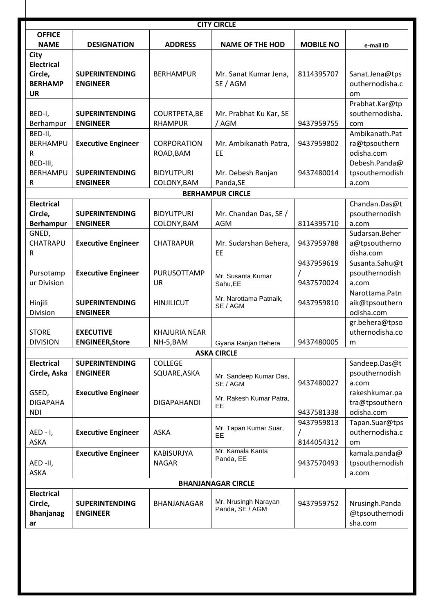| <b>CITY CIRCLE</b>                                                  |                                            |                                   |                                         |                          |                                                |  |
|---------------------------------------------------------------------|--------------------------------------------|-----------------------------------|-----------------------------------------|--------------------------|------------------------------------------------|--|
| <b>OFFICE</b>                                                       |                                            |                                   |                                         |                          |                                                |  |
| <b>NAME</b>                                                         | <b>DESIGNATION</b>                         | <b>ADDRESS</b>                    | <b>NAME OF THE HOD</b>                  | <b>MOBILE NO</b>         | e-mail ID                                      |  |
| City<br><b>Electrical</b><br>Circle,<br><b>BERHAMP</b><br><b>UR</b> | <b>SUPERINTENDING</b><br><b>ENGINEER</b>   | <b>BERHAMPUR</b>                  | Mr. Sanat Kumar Jena,<br>SE / AGM       | 8114395707               | Sanat.Jena@tps<br>outhernodisha.c<br>om        |  |
| BED-I,<br>Berhampur                                                 | <b>SUPERINTENDING</b><br><b>ENGINEER</b>   | COURTPETA, BE<br><b>RHAMPUR</b>   | Mr. Prabhat Ku Kar, SE<br>/AGM          | 9437959755               | Prabhat.Kar@tp<br>southernodisha.<br>com       |  |
| BED-II,<br>BERHAMPU<br>R                                            | <b>Executive Engineer</b>                  | CORPORATION<br>ROAD, BAM          | Mr. Ambikanath Patra,<br>EE             | 9437959802               | Ambikanath.Pat<br>ra@tpsouthern<br>odisha.com  |  |
| BED-III,<br><b>BERHAMPU</b><br>R                                    | <b>SUPERINTENDING</b><br><b>ENGINEER</b>   | <b>BIDYUTPURI</b><br>COLONY, BAM  | Mr. Debesh Ranjan<br>Panda, SE          | 9437480014               | Debesh.Panda@<br>tpsouthernodish<br>a.com      |  |
|                                                                     |                                            |                                   | <b>BERHAMPUR CIRCLE</b>                 |                          |                                                |  |
| <b>Electrical</b><br>Circle,<br><b>Berhampur</b>                    | <b>SUPERINTENDING</b><br><b>ENGINEER</b>   | <b>BIDYUTPURI</b><br>COLONY, BAM  | Mr. Chandan Das, SE /<br><b>AGM</b>     | 8114395710               | Chandan.Das@t<br>psouthernodish<br>a.com       |  |
| GNED,<br>CHATRAPU<br>R                                              | <b>Executive Engineer</b>                  | <b>CHATRAPUR</b>                  | Mr. Sudarshan Behera,<br>EE             | 9437959788               | Sudarsan.Beher<br>a@tpsoutherno<br>disha.com   |  |
| Pursotamp<br>ur Division                                            | <b>Executive Engineer</b>                  | PURUSOTTAMP<br>UR                 | Mr. Susanta Kumar<br>Sahu,EE            | 9437959619<br>9437570024 | Susanta.Sahu@t<br>psouthernodish<br>a.com      |  |
| Hinjili<br>Division                                                 | <b>SUPERINTENDING</b><br><b>ENGINEER</b>   | <b>HINJILICUT</b>                 | Mr. Narottama Patnaik,<br>SE / AGM      | 9437959810               | Narottama.Patn<br>aik@tpsouthern<br>odisha.com |  |
| <b>STORE</b><br><b>DIVISION</b>                                     | <b>EXECUTIVE</b><br><b>ENGINEER, Store</b> | <b>KHAJURIA NEAR</b><br>NH-5, BAM | Gyana Ranjan Behera                     | 9437480005               | gr.behera@tpso<br>uthernodisha.co<br>m         |  |
|                                                                     |                                            |                                   | <b>ASKA CIRCLE</b>                      |                          |                                                |  |
| <b>Electrical</b><br>Circle, Aska                                   | <b>SUPERINTENDING</b><br><b>ENGINEER</b>   | <b>COLLEGE</b><br>SQUARE, ASKA    | Mr. Sandeep Kumar Das,<br>SE / AGM      | 9437480027               | Sandeep.Das@t<br>psouthernodish<br>a.com       |  |
| GSED,<br><b>DIGAPAHA</b><br><b>NDI</b>                              | <b>Executive Engineer</b>                  | <b>DIGAPAHANDI</b>                | Mr. Rakesh Kumar Patra,<br>EE           | 9437581338               | rakeshkumar.pa<br>tra@tpsouthern<br>odisha.com |  |
| $AED - I$ ,<br><b>ASKA</b>                                          | <b>Executive Engineer</b>                  | <b>ASKA</b>                       | Mr. Tapan Kumar Suar,<br>EE             | 9437959813<br>8144054312 | Tapan.Suar@tps<br>outhernodisha.c<br>om        |  |
| AED-II,<br><b>ASKA</b>                                              | <b>Executive Engineer</b>                  | <b>KABISURJYA</b><br><b>NAGAR</b> | Mr. Kamala Kanta<br>Panda, EE           | 9437570493               | kamala.panda@<br>tpsouthernodish<br>a.com      |  |
|                                                                     |                                            |                                   | <b>BHANJANAGAR CIRCLE</b>               |                          |                                                |  |
| <b>Electrical</b><br>Circle,<br><b>Bhanjanag</b><br>ar              | <b>SUPERINTENDING</b><br><b>ENGINEER</b>   | BHANJANAGAR                       | Mr. Nrusingh Narayan<br>Panda, SE / AGM | 9437959752               | Nrusingh.Panda<br>@tpsouthernodi<br>sha.com    |  |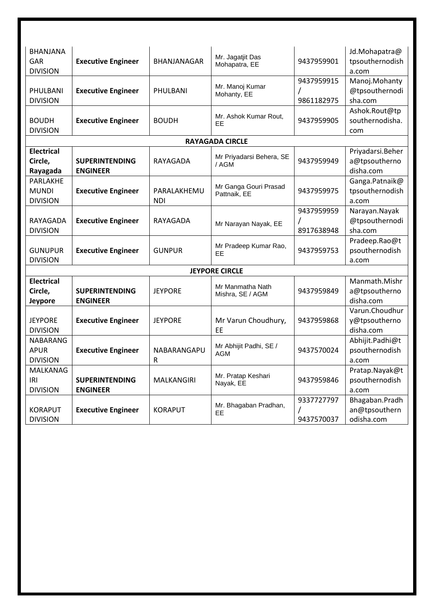| <b>BHANJANA</b>   |                           |                | Mr. Jagatjit Das            |            | Jd.Mohapatra@    |
|-------------------|---------------------------|----------------|-----------------------------|------------|------------------|
| <b>GAR</b>        | <b>Executive Engineer</b> | BHANJANAGAR    | Mohapatra, EE               | 9437959901 | tpsouthernodish  |
| <b>DIVISION</b>   |                           |                |                             |            | a.com            |
|                   |                           |                | Mr. Manoj Kumar             | 9437959915 | Manoj.Mohanty    |
| PHULBANI          | <b>Executive Engineer</b> | PHULBANI       | Mohanty, EE                 |            | @tpsouthernodi   |
| <b>DIVISION</b>   |                           |                |                             | 9861182975 | sha.com          |
|                   |                           |                | Mr. Ashok Kumar Rout,       |            | Ashok.Rout@tp    |
| <b>BOUDH</b>      | <b>Executive Engineer</b> | <b>BOUDH</b>   | EE                          | 9437959905 | southernodisha.  |
| <b>DIVISION</b>   |                           |                |                             |            | com              |
|                   |                           |                | <b>RAYAGADA CIRCLE</b>      |            |                  |
| <b>Electrical</b> |                           |                | Mr Priyadarsi Behera, SE    |            | Priyadarsi.Beher |
| Circle,           | <b>SUPERINTENDING</b>     | RAYAGADA       | /AGM                        | 9437959949 | a@tpsoutherno    |
| Rayagada          | <b>ENGINEER</b>           |                |                             |            | disha.com        |
| PARLAKHE          |                           |                | Mr Ganga Gouri Prasad       |            | Ganga.Patnaik@   |
| <b>MUNDI</b>      | <b>Executive Engineer</b> | PARALAKHEMU    | Pattnaik, EE                | 9437959975 | tpsouthernodish  |
| <b>DIVISION</b>   | <b>NDI</b>                |                |                             |            | a.com            |
|                   |                           |                |                             | 9437959959 | Narayan.Nayak    |
| RAYAGADA          | <b>Executive Engineer</b> | RAYAGADA       | Mr Narayan Nayak, EE        |            | @tpsouthernodi   |
| <b>DIVISION</b>   |                           |                |                             | 8917638948 | sha.com          |
|                   |                           | <b>GUNPUR</b>  | Mr Pradeep Kumar Rao,<br>EE | 9437959753 | Pradeep.Rao@t    |
| <b>GUNUPUR</b>    | <b>Executive Engineer</b> |                |                             |            | psouthernodish   |
| <b>DIVISION</b>   |                           |                |                             |            | a.com            |
|                   |                           |                | <b>JEYPORE CIRCLE</b>       |            |                  |
| <b>Electrical</b> |                           |                | Mr Manmatha Nath            |            | Manmath.Mishr    |
| Circle,           | <b>SUPERINTENDING</b>     | <b>JEYPORE</b> | Mishra, SE / AGM            | 9437959849 | a@tpsoutherno    |
| Jeypore           | <b>ENGINEER</b>           |                |                             |            | disha.com        |
|                   |                           |                |                             |            | Varun.Choudhur   |
| <b>JEYPORE</b>    | <b>Executive Engineer</b> | <b>JEYPORE</b> | Mr Varun Choudhury,         | 9437959868 | y@tpsoutherno    |
| <b>DIVISION</b>   |                           |                | EE                          |            | disha.com        |
| <b>NABARANG</b>   |                           |                | Mr Abhijit Padhi, SE /      |            | Abhijit.Padhi@t  |
| <b>APUR</b>       | <b>Executive Engineer</b> | NABARANGAPU    | <b>AGM</b>                  | 9437570024 | psouthernodish   |
| <b>DIVISION</b>   | R                         |                |                             |            | a.com            |
| MALKANAG          |                           |                | Mr. Pratap Keshari          |            | Pratap.Nayak@t   |
| <b>IRI</b>        | <b>SUPERINTENDING</b>     | MALKANGIRI     | Nayak, EE                   | 9437959846 | psouthernodish   |
| <b>DIVISION</b>   | <b>ENGINEER</b>           |                |                             |            | a.com            |
|                   |                           |                | Mr. Bhagaban Pradhan,       | 9337727797 | Bhagaban.Pradh   |
| <b>KORAPUT</b>    | <b>Executive Engineer</b> | <b>KORAPUT</b> | EE                          |            | an@tpsouthern    |
| <b>DIVISION</b>   |                           |                |                             | 9437570037 | odisha.com       |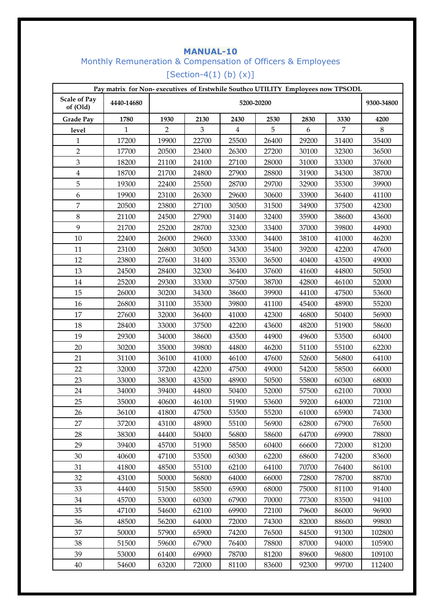# **MANUAL-10**  Monthly Remuneration & Compensation of Officers & Employees [Section-4(1) (b)  $(x)$ ]

| Pay matrix for Non-executives of Erstwhile Southco UTILITY Employees now TPSODL |            |                |                          |                |       |       |                |        |
|---------------------------------------------------------------------------------|------------|----------------|--------------------------|----------------|-------|-------|----------------|--------|
| <b>Scale of Pay</b><br>of (Old)                                                 | 4440-14680 |                | 5200-20200<br>9300-34800 |                |       |       |                |        |
| <b>Grade Pay</b>                                                                | 1780       | 1930           | 2130                     | 2430           | 2530  | 2830  | 3330           | 4200   |
| level                                                                           | 1          | $\overline{2}$ | 3                        | $\overline{4}$ | 5     | 6     | $\overline{7}$ | 8      |
| 1                                                                               | 17200      | 19900          | 22700                    | 25500          | 26400 | 29200 | 31400          | 35400  |
| $\overline{2}$                                                                  | 17700      | 20500          | 23400                    | 26300          | 27200 | 30100 | 32300          | 36500  |
| $\mathfrak{Z}$                                                                  | 18200      | 21100          | 24100                    | 27100          | 28000 | 31000 | 33300          | 37600  |
| $\overline{4}$                                                                  | 18700      | 21700          | 24800                    | 27900          | 28800 | 31900 | 34300          | 38700  |
| 5                                                                               | 19300      | 22400          | 25500                    | 28700          | 29700 | 32900 | 35300          | 39900  |
| 6                                                                               | 19900      | 23100          | 26300                    | 29600          | 30600 | 33900 | 36400          | 41100  |
| $\overline{7}$                                                                  | 20500      | 23800          | 27100                    | 30500          | 31500 | 34900 | 37500          | 42300  |
| $\,8\,$                                                                         | 21100      | 24500          | 27900                    | 31400          | 32400 | 35900 | 38600          | 43600  |
| 9                                                                               | 21700      | 25200          | 28700                    | 32300          | 33400 | 37000 | 39800          | 44900  |
| 10                                                                              | 22400      | 26000          | 29600                    | 33300          | 34400 | 38100 | 41000          | 46200  |
| 11                                                                              | 23100      | 26800          | 30500                    | 34300          | 35400 | 39200 | 42200          | 47600  |
| 12                                                                              | 23800      | 27600          | 31400                    | 35300          | 36500 | 40400 | 43500          | 49000  |
| 13                                                                              | 24500      | 28400          | 32300                    | 36400          | 37600 | 41600 | 44800          | 50500  |
| 14                                                                              | 25200      | 29300          | 33300                    | 37500          | 38700 | 42800 | 46100          | 52000  |
| 15                                                                              | 26000      | 30200          | 34300                    | 38600          | 39900 | 44100 | 47500          | 53600  |
| 16                                                                              | 26800      | 31100          | 35300                    | 39800          | 41100 | 45400 | 48900          | 55200  |
| 17                                                                              | 27600      | 32000          | 36400                    | 41000          | 42300 | 46800 | 50400          | 56900  |
| 18                                                                              | 28400      | 33000          | 37500                    | 42200          | 43600 | 48200 | 51900          | 58600  |
| 19                                                                              | 29300      | 34000          | 38600                    | 43500          | 44900 | 49600 | 53500          | 60400  |
| 20                                                                              | 30200      | 35000          | 39800                    | 44800          | 46200 | 51100 | 55100          | 62200  |
| 21                                                                              | 31100      | 36100          | 41000                    | 46100          | 47600 | 52600 | 56800          | 64100  |
| 22                                                                              | 32000      | 37200          | 42200                    | 47500          | 49000 | 54200 | 58500          | 66000  |
| 23                                                                              | 33000      | 38300          | 43500                    | 48900          | 50500 | 55800 | 60300          | 68000  |
| 24                                                                              | 34000      | 39400          | 44800                    | 50400          | 52000 | 57500 | 62100          | 70000  |
| 25                                                                              | 35000      | 40600          | 46100                    | 51900          | 53600 | 59200 | 64000          | 72100  |
| 26                                                                              | 36100      | 41800          | 47500                    | 53500          | 55200 | 61000 | 65900          | 74300  |
| 27                                                                              | 37200      | 43100          | 48900                    | 55100          | 56900 | 62800 | 67900          | 76500  |
| 28                                                                              | 38300      | 44400          | 50400                    | 56800          | 58600 | 64700 | 69900          | 78800  |
| 29                                                                              | 39400      | 45700          | 51900                    | 58500          | 60400 | 66600 | 72000          | 81200  |
| 30                                                                              | 40600      | 47100          | 53500                    | 60300          | 62200 | 68600 | 74200          | 83600  |
| 31                                                                              | 41800      | 48500          | 55100                    | 62100          | 64100 | 70700 | 76400          | 86100  |
| 32                                                                              | 43100      | 50000          | 56800                    | 64000          | 66000 | 72800 | 78700          | 88700  |
| 33                                                                              | 44400      | 51500          | 58500                    | 65900          | 68000 | 75000 | 81100          | 91400  |
| 34                                                                              | 45700      | 53000          | 60300                    | 67900          | 70000 | 77300 | 83500          | 94100  |
| 35                                                                              | 47100      | 54600          | 62100                    | 69900          | 72100 | 79600 | 86000          | 96900  |
| 36                                                                              | 48500      | 56200          | 64000                    | 72000          | 74300 | 82000 | 88600          | 99800  |
| 37                                                                              | 50000      | 57900          | 65900                    | 74200          | 76500 | 84500 | 91300          | 102800 |
| 38                                                                              | 51500      | 59600          | 67900                    | 76400          | 78800 | 87000 | 94000          | 105900 |
| 39                                                                              | 53000      | 61400          | 69900                    | 78700          | 81200 | 89600 | 96800          | 109100 |
| $40\,$                                                                          | 54600      | 63200          | 72000                    | 81100          | 83600 | 92300 | 99700          | 112400 |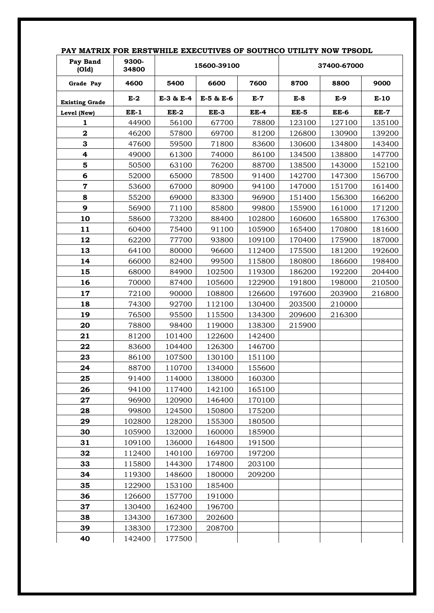| Pay Band<br>(Old)     | 9300-<br>34800   |                  | 15600-39100 |             | 37400-67000 |             |             |
|-----------------------|------------------|------------------|-------------|-------------|-------------|-------------|-------------|
| Grade Pay             | 4600             | 5400             | 6600        | 7600        | 8700        | 8800        | 9000        |
| <b>Existing Grade</b> | $E-2$            | E-3 & E-4        | E-5 & E-6   | $E-7$       | $E-8$       | $E-9$       | $E-10$      |
| Level (New)           | $EE-1$           | $EE-2$           | EE-3        | <b>EE-4</b> | <b>EE-5</b> | <b>EE-6</b> | <b>EE-7</b> |
| 1                     | 44900            | 56100            | 67700       | 78800       | 123100      | 127100      | 135100      |
| $\mathbf 2$           | 46200            | 57800            | 69700       | 81200       | 126800      | 130900      | 139200      |
| 3                     | 47600            | 59500            | 71800       | 83600       | 130600      | 134800      | 143400      |
| 4                     | 49000            | 61300            | 74000       | 86100       | 134500      | 138800      | 147700      |
| 5                     | 50500            | 63100            | 76200       | 88700       | 138500      | 143000      | 152100      |
| 6                     | 52000            | 65000            | 78500       | 91400       | 142700      | 147300      | 156700      |
| $\overline{7}$        | 53600            | 67000            | 80900       | 94100       | 147000      | 151700      | 161400      |
| 8                     | 55200            | 69000            | 83300       | 96900       | 151400      | 156300      | 166200      |
| 9                     | 56900            | 71100            | 85800       | 99800       | 155900      | 161000      | 171200      |
| 10                    | 58600            | 73200            | 88400       | 102800      | 160600      | 165800      | 176300      |
| 11                    | 60400            | 75400            | 91100       | 105900      | 165400      | 170800      | 181600      |
| 12                    | 62200            | 77700            | 93800       | 109100      | 170400      | 175900      | 187000      |
| 13                    | 64100            | 80000            | 96600       | 112400      | 175500      | 181200      | 192600      |
| 14                    | 66000            | 82400            | 99500       | 115800      | 180800      | 186600      | 198400      |
| 15                    | 68000            | 84900            | 102500      | 119300      | 186200      | 192200      | 204400      |
| 16                    | 70000            | 87400            | 105600      | 122900      | 191800      | 198000      | 210500      |
| 17                    | 72100            | 90000            | 108800      | 126600      | 197600      | 203900      | 216800      |
| 18                    | 74300            | 92700            | 112100      | 130400      | 203500      | 210000      |             |
| 19                    | 76500            | 95500            | 115500      | 134300      | 209600      | 216300      |             |
| 20                    | 78800            | 98400            | 119000      | 138300      | 215900      |             |             |
| 21                    | 81200            | 101400           | 122600      | 142400      |             |             |             |
| 22                    | 83600            | 104400           | 126300      | 146700      |             |             |             |
| 23                    | 86100            | 107500           | 130100      | 151100      |             |             |             |
| 24                    | 88700            | 110700           | 134000      | 155600      |             |             |             |
| 25                    | 91400            | 114000           | 138000      | 160300      |             |             |             |
| 26                    | 94100            | 117400           | 142100      | 165100      |             |             |             |
| 27                    | 96900            | 120900           | 146400      | 170100      |             |             |             |
| 28                    | 99800            | 124500           | 150800      | 175200      |             |             |             |
| 29                    | 102800           | 128200           | 155300      | 180500      |             |             |             |
| 30                    | 105900           | 132000           | 160000      | 185900      |             |             |             |
| 31                    | 109100           | 136000           | 164800      | 191500      |             |             |             |
| 32                    | 112400           | 140100           | 169700      | 197200      |             |             |             |
| 33                    | 115800           | 144300           | 174800      | 203100      |             |             |             |
| 34                    | 119300           | 148600           | 180000      | 209200      |             |             |             |
| 35                    | 122900           | 153100           | 185400      |             |             |             |             |
| 36                    |                  | 157700           |             |             |             |             |             |
|                       | 126600           |                  | 191000      |             |             |             |             |
| 37                    | 130400           | 162400           | 196700      |             |             |             |             |
| 38                    | 134300           | 167300           | 202600      |             |             |             |             |
| 39<br>40              | 138300<br>142400 | 172300<br>177500 | 208700      |             |             |             |             |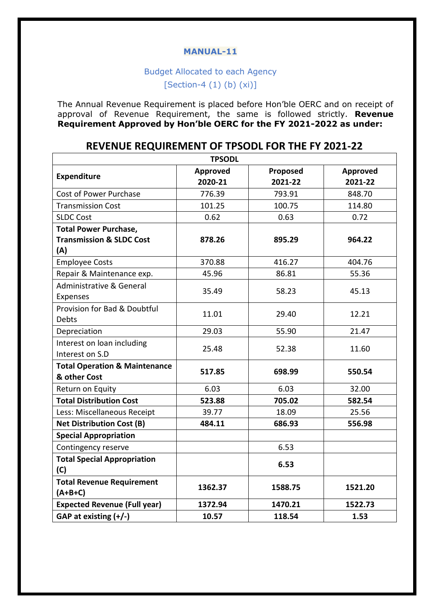# Budget Allocated to each Agency

 $[Section-4 (1) (b) (xi)]$ 

The Annual Revenue Requirement is placed before Hon'ble OERC and on receipt of approval of Revenue Requirement, the same is followed strictly. **Revenue Requirement Approved by Hon'ble OERC for the FY 2021-2022 as under:**

# **REVENUE REQUIREMENT OF TPSODL FOR THE FY 2021-22**

| <b>TPSODL</b>                                                              |                     |                     |                     |  |  |  |  |
|----------------------------------------------------------------------------|---------------------|---------------------|---------------------|--|--|--|--|
| <b>Expenditure</b>                                                         | Approved<br>2020-21 | Proposed<br>2021-22 | Approved<br>2021-22 |  |  |  |  |
| Cost of Power Purchase                                                     | 776.39              | 793.91              | 848.70              |  |  |  |  |
| <b>Transmission Cost</b>                                                   | 101.25              | 100.75              | 114.80              |  |  |  |  |
| <b>SLDC Cost</b>                                                           | 0.62                | 0.63                | 0.72                |  |  |  |  |
| <b>Total Power Purchase,</b><br><b>Transmission &amp; SLDC Cost</b><br>(A) | 878.26              | 895.29              | 964.22              |  |  |  |  |
| <b>Employee Costs</b>                                                      | 370.88              | 416.27              | 404.76              |  |  |  |  |
| Repair & Maintenance exp.                                                  | 45.96               | 86.81               | 55.36               |  |  |  |  |
| Administrative & General<br>Expenses                                       | 35.49               | 58.23               | 45.13               |  |  |  |  |
| Provision for Bad & Doubtful<br><b>Debts</b>                               | 11.01               | 29.40               | 12.21               |  |  |  |  |
| Depreciation                                                               | 29.03               | 55.90               | 21.47               |  |  |  |  |
| Interest on loan including<br>Interest on S.D                              | 25.48               | 52.38               | 11.60               |  |  |  |  |
| <b>Total Operation &amp; Maintenance</b><br>& other Cost                   | 517.85              | 698.99              | 550.54              |  |  |  |  |
| Return on Equity                                                           | 6.03                | 6.03                | 32.00               |  |  |  |  |
| <b>Total Distribution Cost</b>                                             | 523.88              | 705.02              | 582.54              |  |  |  |  |
| Less: Miscellaneous Receipt                                                | 39.77               | 18.09               | 25.56               |  |  |  |  |
| <b>Net Distribution Cost (B)</b>                                           | 484.11              | 686.93              | 556.98              |  |  |  |  |
| <b>Special Appropriation</b>                                               |                     |                     |                     |  |  |  |  |
| Contingency reserve                                                        |                     | 6.53                |                     |  |  |  |  |
| <b>Total Special Appropriation</b><br>(C)                                  |                     | 6.53                |                     |  |  |  |  |
| <b>Total Revenue Requirement</b><br>$(A+B+C)$                              | 1362.37             | 1588.75             | 1521.20             |  |  |  |  |
| <b>Expected Revenue (Full year)</b>                                        | 1372.94             | 1470.21             | 1522.73             |  |  |  |  |
| GAP at existing (+/-)                                                      | 10.57               | 118.54              | 1.53                |  |  |  |  |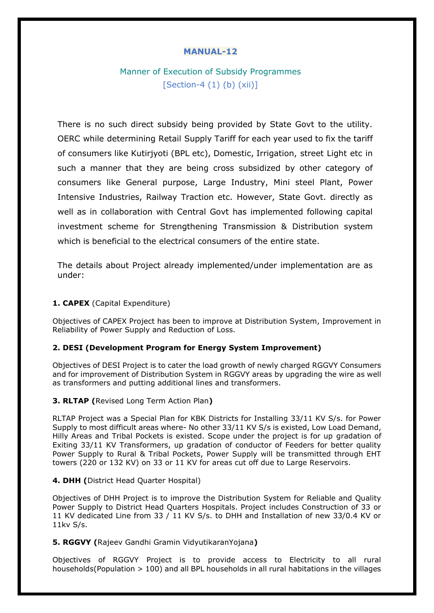# Manner of Execution of Subsidy Programmes  $[Section-4 (1) (b) (xii)]$

There is no such direct subsidy being provided by State Govt to the utility. OERC while determining Retail Supply Tariff for each year used to fix the tariff of consumers like Kutirjyoti (BPL etc), Domestic, Irrigation, street Light etc in such a manner that they are being cross subsidized by other category of consumers like General purpose, Large Industry, Mini steel Plant, Power Intensive Industries, Railway Traction etc. However, State Govt. directly as well as in collaboration with Central Govt has implemented following capital investment scheme for Strengthening Transmission & Distribution system which is beneficial to the electrical consumers of the entire state.

The details about Project already implemented/under implementation are as under:

#### **1. CAPEX** (Capital Expenditure)

Objectives of CAPEX Project has been to improve at Distribution System, Improvement in Reliability of Power Supply and Reduction of Loss.

#### **2. DESI (Development Program for Energy System Improvement)**

Objectives of DESI Project is to cater the load growth of newly charged RGGVY Consumers and for improvement of Distribution System in RGGVY areas by upgrading the wire as well as transformers and putting additional lines and transformers.

#### **3. RLTAP (**Revised Long Term Action Plan**)**

RLTAP Project was a Special Plan for KBK Districts for Installing 33/11 KV S/s. for Power Supply to most difficult areas where- No other 33/11 KV S/s is existed, Low Load Demand, Hilly Areas and Tribal Pockets is existed. Scope under the project is for up gradation of Exiting 33/11 KV Transformers, up gradation of conductor of Feeders for better quality Power Supply to Rural & Tribal Pockets, Power Supply will be transmitted through EHT towers (220 or 132 KV) on 33 or 11 KV for areas cut off due to Large Reservoirs.

#### **4. DHH (**District Head Quarter Hospital)

Objectives of DHH Project is to improve the Distribution System for Reliable and Quality Power Supply to District Head Quarters Hospitals. Project includes Construction of 33 or 11 KV dedicated Line from 33 / 11 KV S/s. to DHH and Installation of new 33/0.4 KV or 11kv S/s.

#### **5. RGGVY (**Rajeev Gandhi Gramin VidyutikaranYojana**)**

Objectives of RGGVY Project is to provide access to Electricity to all rural households(Population > 100) and all BPL households in all rural habitations in the villages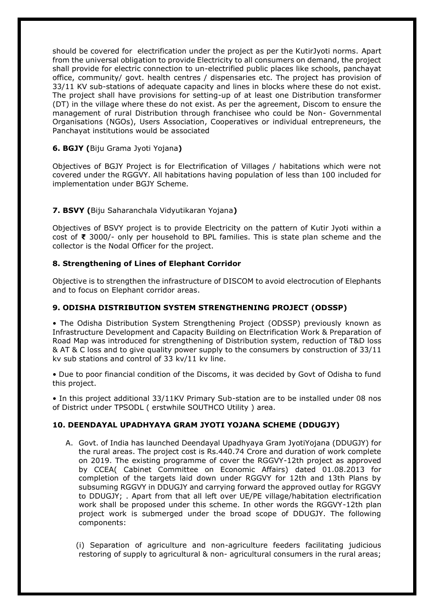should be covered for electrification under the project as per the KutirJyoti norms. Apart from the universal obligation to provide Electricity to all consumers on demand, the project shall provide for electric connection to un-electrified public places like schools, panchayat office, community/ govt. health centres / dispensaries etc. The project has provision of 33/11 KV sub-stations of adequate capacity and lines in blocks where these do not exist. The project shall have provisions for setting-up of at least one Distribution transformer (DT) in the village where these do not exist. As per the agreement, Discom to ensure the management of rural Distribution through franchisee who could be Non- Governmental Organisations (NGOs), Users Association, Cooperatives or individual entrepreneurs, the Panchayat institutions would be associated

## **6. BGJY (**Biju Grama Jyoti Yojana**)**

Objectives of BGJY Project is for Electrification of Villages / habitations which were not covered under the RGGVY. All habitations having population of less than 100 included for implementation under BGJY Scheme.

#### **7. BSVY (**Biju Saharanchala Vidyutikaran Yojana**)**

Objectives of BSVY project is to provide Electricity on the pattern of Kutir Jyoti within a cost of **₹** 3000/- only per household to BPL families. This is state plan scheme and the collector is the Nodal Officer for the project.

#### **8. Strengthening of Lines of Elephant Corridor**

Objective is to strengthen the infrastructure of DISCOM to avoid electrocution of Elephants and to focus on Elephant corridor areas.

#### **9. ODISHA DISTRIBUTION SYSTEM STRENGTHENING PROJECT (ODSSP)**

• The Odisha Distribution System Strengthening Project (ODSSP) previously known as Infrastructure Development and Capacity Building on Electrification Work & Preparation of Road Map was introduced for strengthening of Distribution system, reduction of T&D loss & AT & C loss and to give quality power supply to the consumers by construction of 33/11 kv sub stations and control of 33 kv/11 kv line.

• Due to poor financial condition of the Discoms, it was decided by Govt of Odisha to fund this project.

• In this project additional 33/11KV Primary Sub-station are to be installed under 08 nos of District under TPSODL ( erstwhile SOUTHCO Utility ) area.

#### **10. DEENDAYAL UPADHYAYA GRAM JYOTI YOJANA SCHEME (DDUGJY)**

A. Govt. of India has launched Deendayal Upadhyaya Gram JyotiYojana (DDUGJY) for the rural areas. The project cost is Rs.440.74 Crore and duration of work complete on 2019. The existing programme of cover the RGGVY-12th project as approved by CCEA( Cabinet Committee on Economic Affairs) dated 01.08.2013 for completion of the targets laid down under RGGVY for 12th and 13th Plans by subsuming RGGVY in DDUGJY and carrying forward the approved outlay for RGGVY to DDUGJY; . Apart from that all left over UE/PE village/habitation electrification work shall be proposed under this scheme. In other words the RGGVY-12th plan project work is submerged under the broad scope of DDUGJY. The following components:

(i) Separation of agriculture and non-agriculture feeders facilitating judicious restoring of supply to agricultural & non- agricultural consumers in the rural areas;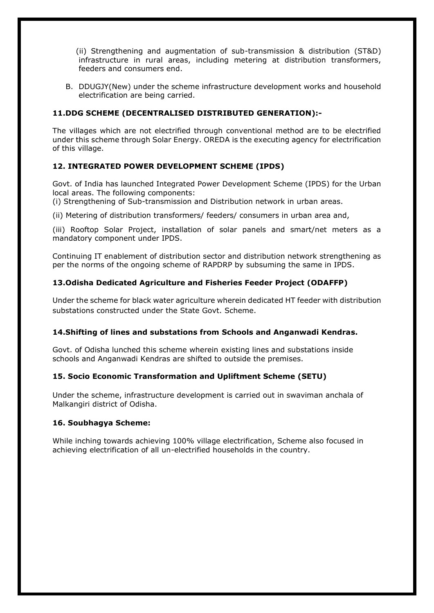(ii) Strengthening and augmentation of sub-transmission & distribution (ST&D) infrastructure in rural areas, including metering at distribution transformers, feeders and consumers end.

B. DDUGJY(New) under the scheme infrastructure development works and household electrification are being carried.

## **11.DDG SCHEME (DECENTRALISED DISTRIBUTED GENERATION):-**

The villages which are not electrified through conventional method are to be electrified under this scheme through Solar Energy. OREDA is the executing agency for electrification of this village.

## **12. INTEGRATED POWER DEVELOPMENT SCHEME (IPDS)**

Govt. of India has launched Integrated Power Development Scheme (IPDS) for the Urban local areas. The following components:

(i) Strengthening of Sub-transmission and Distribution network in urban areas.

(ii) Metering of distribution transformers/ feeders/ consumers in urban area and,

(iii) Rooftop Solar Project, installation of solar panels and smart/net meters as a mandatory component under IPDS.

Continuing IT enablement of distribution sector and distribution network strengthening as per the norms of the ongoing scheme of RAPDRP by subsuming the same in IPDS.

## **13.Odisha Dedicated Agriculture and Fisheries Feeder Project (ODAFFP)**

Under the scheme for black water agriculture wherein dedicated HT feeder with distribution substations constructed under the State Govt. Scheme.

## **14.Shifting of lines and substations from Schools and Anganwadi Kendras.**

Govt. of Odisha lunched this scheme wherein existing lines and substations inside schools and Anganwadi Kendras are shifted to outside the premises.

## **15. Socio Economic Transformation and Upliftment Scheme (SETU)**

Under the scheme, infrastructure development is carried out in swaviman anchala of Malkangiri district of Odisha.

## **16. Soubhagya Scheme:**

While inching towards achieving 100% village electrification, Scheme also focused in achieving electrification of all un-electrified households in the country.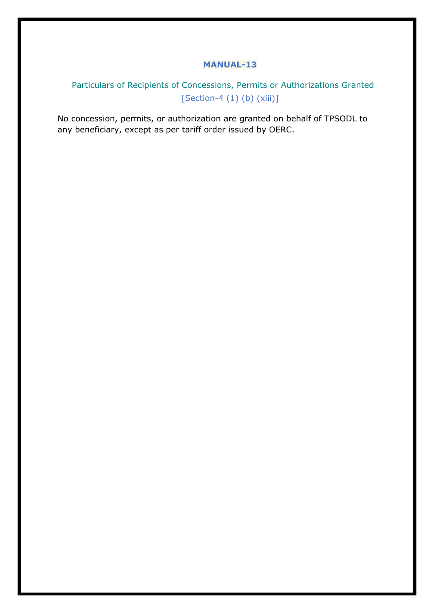# Particulars of Recipients of Concessions, Permits or Authorizations Granted [Section-4 (1) (b) (xiii)]

No concession, permits, or authorization are granted on behalf of TPSODL to any beneficiary, except as per tariff order issued by OERC.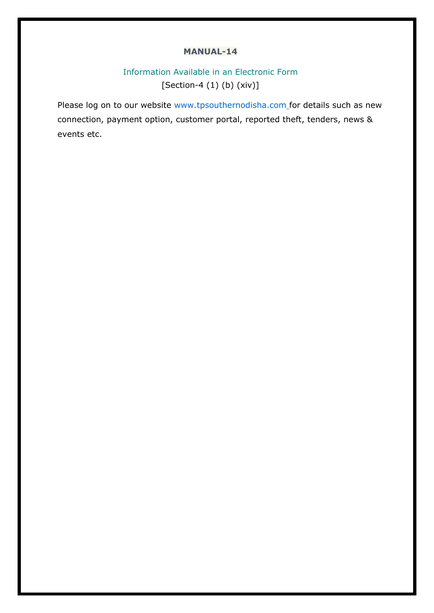# Information Available in an Electronic Form [Section-4 (1) (b) (xiv)]

Please log on to our website www.tpsouthernodisha.com for details such as new connection, payment option, customer portal, reported theft, tenders, news & events etc.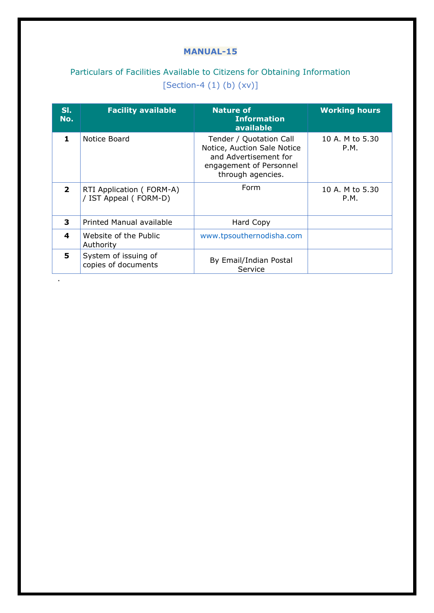# Particulars of Facilities Available to Citizens for Obtaining Information  $[Section-4 (1) (b) (xv)]$

| SI.<br>No.   | <b>Facility available</b>                         | <b>Nature of</b><br><b>Information</b><br>available                                                                             | <b>Working hours</b>    |
|--------------|---------------------------------------------------|---------------------------------------------------------------------------------------------------------------------------------|-------------------------|
| 1.           | Notice Board                                      | Tender / Quotation Call<br>Notice, Auction Sale Notice<br>and Advertisement for<br>engagement of Personnel<br>through agencies. | 10 A. M to 5.30<br>P.M. |
| $\mathbf{2}$ | RTI Application (FORM-A)<br>/ IST Appeal (FORM-D) | Form                                                                                                                            | 10 A. M to 5.30<br>P.M. |
| 3            | Printed Manual available                          | Hard Copy                                                                                                                       |                         |
| 4            | Website of the Public<br>Authority                | www.tpsouthernodisha.com                                                                                                        |                         |
| 5.           | System of issuing of<br>copies of documents       | By Email/Indian Postal<br>Service                                                                                               |                         |

.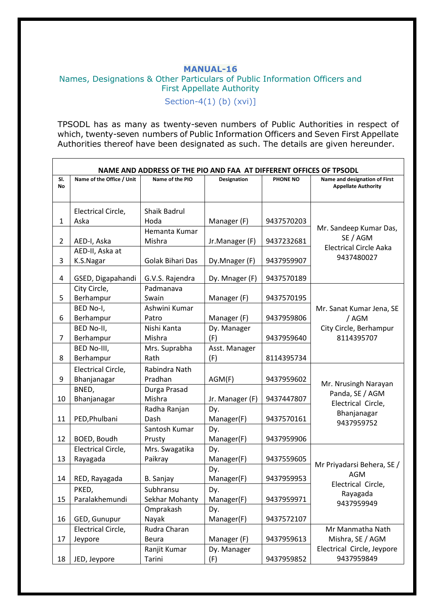# **MANUAL-16**  Names, Designations & Other Particulars of Public Information Officers and First Appellate Authority

Section-4(1) (b) (xvi)]

TPSODL has as many as twenty-seven numbers of Public Authorities in respect of which, twenty-seven numbers of Public Information Officers and Seven First Appellate Authorities thereof have been designated as such. The details are given hereunder.

|                | NAME AND ADDRESS OF THE PIO AND FAA AT DIFFERENT OFFICES OF TPSODL                                       |                     |                 |            |                                          |  |  |  |  |
|----------------|----------------------------------------------------------------------------------------------------------|---------------------|-----------------|------------|------------------------------------------|--|--|--|--|
| SI.            | Name of the Office / Unit<br>Name of the PIO<br>PHONE NO<br>Name and designation of First<br>Designation |                     |                 |            |                                          |  |  |  |  |
| No             |                                                                                                          |                     |                 |            | <b>Appellate Authority</b>               |  |  |  |  |
|                |                                                                                                          |                     |                 |            |                                          |  |  |  |  |
|                | Electrical Circle,                                                                                       | <b>Shaik Badrul</b> |                 |            |                                          |  |  |  |  |
| 1              | Aska                                                                                                     | Hoda                | Manager (F)     | 9437570203 |                                          |  |  |  |  |
|                |                                                                                                          | Hemanta Kumar       |                 |            | Mr. Sandeep Kumar Das,<br>SE / AGM       |  |  |  |  |
| $\overline{2}$ | AED-I, Aska                                                                                              | Mishra              | Jr.Manager (F)  | 9437232681 | <b>Electrical Circle Aaka</b>            |  |  |  |  |
|                | AED-II, Aska at                                                                                          |                     |                 |            | 9437480027                               |  |  |  |  |
| 3              | K.S.Nagar                                                                                                | Golak Bihari Das    | Dy.Mnager (F)   | 9437959907 |                                          |  |  |  |  |
| 4              | GSED, Digapahandi                                                                                        | G.V.S. Rajendra     | Dy. Mnager (F)  | 9437570189 |                                          |  |  |  |  |
|                | City Circle,                                                                                             | Padmanava           |                 |            |                                          |  |  |  |  |
| 5              | Berhampur                                                                                                | Swain               | Manager (F)     | 9437570195 |                                          |  |  |  |  |
|                | BED No-I,                                                                                                | Ashwini Kumar       |                 |            | Mr. Sanat Kumar Jena, SE                 |  |  |  |  |
| 6              | Berhampur                                                                                                | Patro               | Manager (F)     | 9437959806 | /AGM                                     |  |  |  |  |
|                | BED No-II,                                                                                               | Nishi Kanta         | Dy. Manager     |            | City Circle, Berhampur                   |  |  |  |  |
| $\overline{7}$ | Berhampur                                                                                                | Mishra              | (F)             | 9437959640 | 8114395707                               |  |  |  |  |
|                | BED No-III,                                                                                              | Mrs. Suprabha       | Asst. Manager   |            |                                          |  |  |  |  |
| 8              | Berhampur                                                                                                | Rath                | (F)             | 8114395734 |                                          |  |  |  |  |
|                | Electrical Circle,                                                                                       | Rabindra Nath       |                 |            |                                          |  |  |  |  |
| 9              | Bhanjanagar                                                                                              | Pradhan             | AGM(F)          | 9437959602 |                                          |  |  |  |  |
|                | BNED,                                                                                                    | Durga Prasad        |                 |            | Mr. Nrusingh Narayan<br>Panda, SE / AGM  |  |  |  |  |
| 10             | Bhanjanagar                                                                                              | Mishra              | Jr. Manager (F) | 9437447807 | Electrical Circle,                       |  |  |  |  |
|                |                                                                                                          | Radha Ranjan        | Dy.             |            | Bhanjanagar                              |  |  |  |  |
| 11             | PED, Phulbani                                                                                            | Dash                | Manager(F)      | 9437570161 | 9437959752                               |  |  |  |  |
|                |                                                                                                          | Santosh Kumar       | Dy.             |            |                                          |  |  |  |  |
| 12             | BOED, Boudh                                                                                              | Prusty              | Manager(F)      | 9437959906 |                                          |  |  |  |  |
|                | Electrical Circle,                                                                                       | Mrs. Swagatika      | Dy.             |            |                                          |  |  |  |  |
| 13             | Rayagada                                                                                                 | Paikray             | Manager(F)      | 9437559605 |                                          |  |  |  |  |
|                |                                                                                                          |                     | Dy.             |            | Mr Priyadarsi Behera, SE /<br><b>AGM</b> |  |  |  |  |
| 14             | RED, Rayagada                                                                                            | B. Sanjay           | Manager(F)      | 9437959953 | Electrical Circle.                       |  |  |  |  |
|                | PKED,                                                                                                    | Subhransu           | Dy.             |            | Rayagada                                 |  |  |  |  |
| 15             | Paralakhemundi                                                                                           | Sekhar Mohanty      | Manager(F)      | 9437959971 | 9437959949                               |  |  |  |  |
|                |                                                                                                          | Omprakash           | Dy.             |            |                                          |  |  |  |  |
| 16             | GED, Gunupur                                                                                             | Nayak               | Manager(F)      | 9437572107 |                                          |  |  |  |  |
|                | Electrical Circle,                                                                                       | Rudra Charan        |                 |            | Mr Manmatha Nath                         |  |  |  |  |
| 17             | Jeypore                                                                                                  | Beura               | Manager (F)     | 9437959613 | Mishra, SE / AGM                         |  |  |  |  |
|                |                                                                                                          | Ranjit Kumar        | Dy. Manager     |            | Electrical Circle, Jeypore               |  |  |  |  |
| 18             | JED, Jeypore                                                                                             | Tarini              | (F)             | 9437959852 | 9437959849                               |  |  |  |  |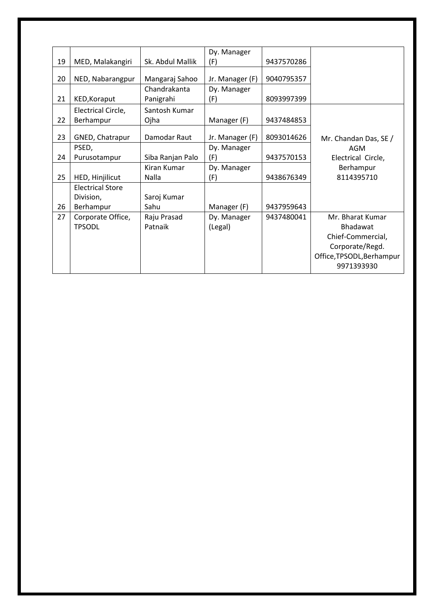|    |                         |                    | Dy. Manager     |            |                           |
|----|-------------------------|--------------------|-----------------|------------|---------------------------|
| 19 | MED, Malakangiri        | Sk. Abdul Mallik   | (F)             | 9437570286 |                           |
| 20 | NED, Nabarangpur        | Mangaraj Sahoo     | Jr. Manager (F) | 9040795357 |                           |
|    |                         | Chandrakanta       | Dy. Manager     |            |                           |
| 21 | KED, Koraput            | Panigrahi          | (F)             | 8093997399 |                           |
|    | Electrical Circle,      | Santosh Kumar      |                 |            |                           |
| 22 | Berhampur               | Ojha               | Manager (F)     | 9437484853 |                           |
|    |                         | Damodar Raut       |                 |            |                           |
| 23 | GNED, Chatrapur         |                    | Jr. Manager (F) | 8093014626 | Mr. Chandan Das, SE /     |
|    | PSED,                   |                    | Dy. Manager     |            | AGM                       |
| 24 | Purusotampur            | Siba Ranjan Palo   | (F)             | 9437570153 | Electrical Circle,        |
|    |                         | <b>Kiran Kumar</b> | Dy. Manager     |            | Berhampur                 |
| 25 | HED, Hinjilicut         | Nalla              | (F)             | 9438676349 | 8114395710                |
|    | <b>Electrical Store</b> |                    |                 |            |                           |
|    | Division,               | Saroj Kumar        |                 |            |                           |
| 26 | Berhampur               | Sahu               | Manager (F)     | 9437959643 |                           |
| 27 | Corporate Office,       | Raju Prasad        | Dy. Manager     | 9437480041 | Mr. Bharat Kumar          |
|    | <b>TPSODL</b>           | Patnaik            | (Legal)         |            | <b>Bhadawat</b>           |
|    |                         |                    |                 |            | Chief-Commercial,         |
|    |                         |                    |                 |            | Corporate/Regd.           |
|    |                         |                    |                 |            | Office, TPSODL, Berhampur |
|    |                         |                    |                 |            | 9971393930                |
|    |                         |                    |                 |            |                           |